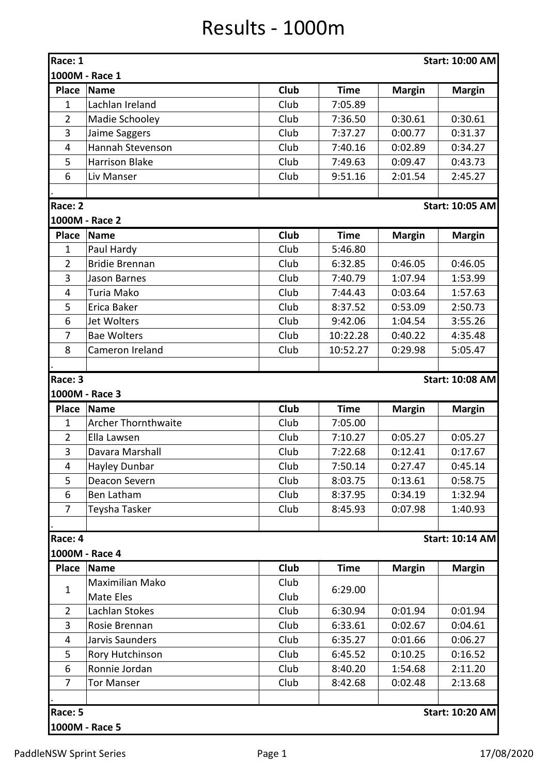## Results - 1000m

| Race: 1        |                            |      |             |               | <b>Start: 10:00 AM</b> |
|----------------|----------------------------|------|-------------|---------------|------------------------|
|                | 1000M - Race 1             |      |             |               |                        |
| <b>Place</b>   | <b>Name</b>                | Club | <b>Time</b> | <b>Margin</b> | <b>Margin</b>          |
| $\mathbf{1}$   | Lachlan Ireland            | Club | 7:05.89     |               |                        |
| $\overline{2}$ | Madie Schooley             | Club | 7:36.50     | 0:30.61       | 0:30.61                |
| 3              | Jaime Saggers              | Club | 7:37.27     | 0:00.77       | 0:31.37                |
| $\overline{4}$ | Hannah Stevenson           | Club | 7:40.16     | 0:02.89       | 0:34.27                |
| 5              | <b>Harrison Blake</b>      | Club | 7:49.63     | 0:09.47       | 0:43.73                |
| 6              | Liv Manser                 | Club | 9:51.16     | 2:01.54       | 2:45.27                |
|                |                            |      |             |               |                        |
| Race: 2        |                            |      |             |               | <b>Start: 10:05 AM</b> |
|                | 1000M - Race 2             |      |             |               |                        |
| <b>Place</b>   | <b>Name</b>                | Club | <b>Time</b> | <b>Margin</b> | <b>Margin</b>          |
| $\mathbf{1}$   | Paul Hardy                 | Club | 5:46.80     |               |                        |
| $\overline{2}$ | <b>Bridie Brennan</b>      | Club | 6:32.85     | 0:46.05       | 0:46.05                |
| 3              | Jason Barnes               | Club | 7:40.79     | 1:07.94       | 1:53.99                |
| $\overline{4}$ | Turia Mako                 | Club | 7:44.43     | 0:03.64       | 1:57.63                |
| 5              | Erica Baker                | Club | 8:37.52     | 0:53.09       | 2:50.73                |
| 6              | <b>Jet Wolters</b>         | Club | 9:42.06     | 1:04.54       | 3:55.26                |
| $\overline{7}$ | <b>Bae Wolters</b>         | Club | 10:22.28    | 0:40.22       | 4:35.48                |
| 8              | Cameron Ireland            | Club | 10:52.27    | 0:29.98       | 5:05.47                |
|                |                            |      |             |               |                        |
| Race: 3        |                            |      |             |               | <b>Start: 10:08 AM</b> |
|                | 1000M - Race 3             |      |             |               |                        |
| <b>Place</b>   | <b>Name</b>                | Club | <b>Time</b> | <b>Margin</b> | <b>Margin</b>          |
| $\mathbf{1}$   | <b>Archer Thornthwaite</b> | Club | 7:05.00     |               |                        |
| $\overline{2}$ | Ella Lawsen                | Club | 7:10.27     | 0:05.27       | 0:05.27                |
| 3              | Davara Marshall            | Club | 7:22.68     | 0:12.41       | 0:17.67                |
| 4              | Hayley Dunbar              | Club | 7:50.14     | 0:27.47       | 0:45.14                |
| 5              | Deacon Severn              | Club | 8:03.75     | 0:13.61       | 0:58.75                |
| 6              | Ben Latham                 | Club | 8:37.95     | 0:34.19       | 1:32.94                |
| $\overline{7}$ | Teysha Tasker              | Club | 8:45.93     | 0:07.98       | 1:40.93                |
|                |                            |      |             |               |                        |
| Race: 4        |                            |      |             |               | <b>Start: 10:14 AM</b> |
|                | 1000M - Race 4             |      |             |               |                        |
| <b>Place</b>   | <b>Name</b>                | Club | <b>Time</b> | <b>Margin</b> | <b>Margin</b>          |
| $\mathbf{1}$   | Maximilian Mako            | Club | 6:29.00     |               |                        |
|                | Mate Eles                  | Club |             |               |                        |
| $\overline{2}$ | Lachlan Stokes             | Club | 6:30.94     | 0:01.94       | 0:01.94                |
| 3              | Rosie Brennan              | Club | 6:33.61     | 0:02.67       | 0:04.61                |
| $\overline{4}$ | Jarvis Saunders            | Club | 6:35.27     | 0:01.66       | 0:06.27                |
| 5              | Rory Hutchinson            | Club | 6:45.52     | 0:10.25       | 0:16.52                |
| 6              | Ronnie Jordan              | Club | 8:40.20     | 1:54.68       | 2:11.20                |
| $\overline{7}$ | <b>Tor Manser</b>          | Club | 8:42.68     | 0:02.48       | 2:13.68                |
|                |                            |      |             |               |                        |
| Race: 5        |                            |      |             |               | <b>Start: 10:20 AM</b> |
|                | 1000M - Race 5             |      |             |               |                        |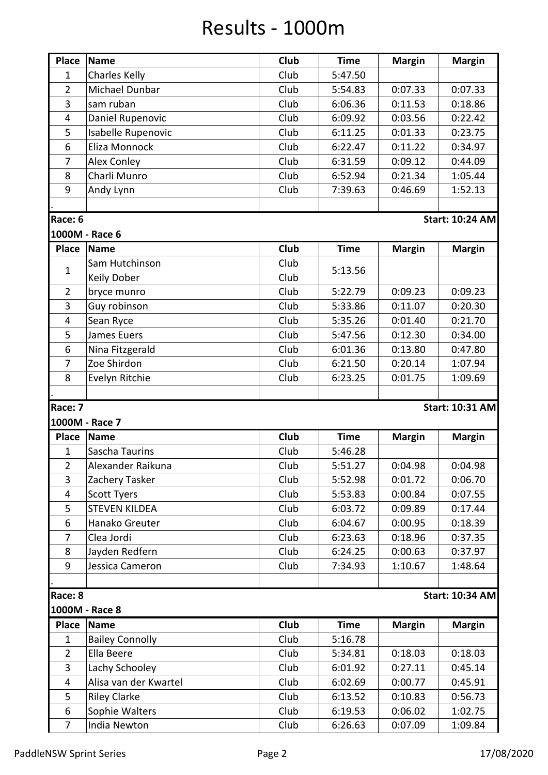## Results - 1000m

| <b>Place</b>                     | <b>Name</b>                    | Club         | <b>Time</b>        | <b>Margin</b>      | <b>Margin</b>          |
|----------------------------------|--------------------------------|--------------|--------------------|--------------------|------------------------|
| $\mathbf{1}$                     | <b>Charles Kelly</b>           | Club         | 5:47.50            |                    |                        |
| $\overline{2}$                   | Michael Dunbar                 | Club         |                    |                    |                        |
|                                  |                                |              | 5:54.83            | 0:07.33            | 0:07.33                |
| 3                                | sam ruban                      | Club         | 6:06.36            | 0:11.53            | 0:18.86                |
| $\overline{4}$                   | Daniel Rupenovic               | Club         | 6:09.92            | 0:03.56            | 0:22.42                |
| 5                                | Isabelle Rupenovic             | Club         | 6:11.25            | 0:01.33            | 0:23.75                |
| 6                                | Eliza Monnock                  | Club         | 6:22.47            | 0:11.22            | 0:34.97                |
| 7                                | Alex Conley                    | Club         | 6:31.59            | 0:09.12            | 0:44.09                |
| 8                                | Charli Munro                   | Club         | 6:52.94            | 0:21.34            | 1:05.44                |
| 9                                | Andy Lynn                      | Club         | 7:39.63            | 0:46.69            | 1:52.13                |
|                                  |                                |              |                    |                    |                        |
| Race: 6                          |                                |              |                    |                    | <b>Start: 10:24 AM</b> |
|                                  | 1000M - Race 6                 |              |                    |                    |                        |
| <b>Place</b>                     | <b>Name</b>                    | <b>Club</b>  | <b>Time</b>        | <b>Margin</b>      | <b>Margin</b>          |
|                                  | Sam Hutchinson                 | Club         |                    |                    |                        |
| $\mathbf{1}$                     | Keily Dober                    | Club         | 5:13.56            |                    |                        |
| $\overline{2}$                   | bryce munro                    | Club         | 5:22.79            | 0:09.23            | 0:09.23                |
| 3                                | Guy robinson                   | Club         | 5:33.86            | 0:11.07            | 0:20.30                |
| $\overline{4}$                   | Sean Ryce                      | Club         | 5:35.26            | 0:01.40            | 0:21.70                |
| 5                                | James Euers                    | Club         | 5:47.56            | 0:12.30            | 0:34.00                |
| 6                                |                                |              |                    |                    |                        |
|                                  | Nina Fitzgerald                | Club         | 6:01.36            | 0:13.80            | 0:47.80                |
| $\overline{7}$                   | Zoe Shirdon                    | Club         | 6:21.50            | 0:20.14            | 1:07.94                |
| 8                                | Evelyn Ritchie                 | Club         | 6:23.25            | 0:01.75            | 1:09.69                |
|                                  |                                |              |                    |                    |                        |
| Race: 7                          |                                |              |                    |                    | <b>Start: 10:31 AM</b> |
|                                  | 1000M - Race 7                 |              |                    |                    |                        |
| <b>Place</b>                     | <b>Name</b>                    | Club         | <b>Time</b>        | <b>Margin</b>      | <b>Margin</b>          |
| $\mathbf{1}$                     | Sascha Taurins                 | Club         | 5:46.28            |                    |                        |
| $\overline{2}$                   | Alexander Raikuna              | Club         | 5:51.27            | 0:04.98            | 0:04.98                |
| $\overline{3}$                   | Zachery Tasker                 | Club         | 5:52.98            | 0:01.72            | 0:06.70                |
| 4                                | <b>Scott Tyers</b>             | Club         | 5:53.83            | 0:00.84            | 0:07.55                |
| 5                                | <b>STEVEN KILDEA</b>           | Club         | 6:03.72            | 0:09.89            | 0:17.44                |
| 6                                | Hanako Greuter                 | Club         | 6:04.67            | 0:00.95            | 0:18.39                |
| 7                                | Clea Jordi                     | Club         | 6:23.63            | 0:18.96            | 0:37.35                |
| 8                                | Jayden Redfern                 | Club         | 6:24.25            | 0:00.63            | 0:37.97                |
| 9                                | Jessica Cameron                | Club         | 7:34.93            | 1:10.67            | 1:48.64                |
|                                  |                                |              |                    |                    |                        |
| Race: 8                          |                                |              |                    |                    | <b>Start: 10:34 AM</b> |
|                                  | 1000M - Race 8                 |              |                    |                    |                        |
| <b>Place</b>                     | <b>Name</b>                    | <b>Club</b>  | <b>Time</b>        | <b>Margin</b>      | <b>Margin</b>          |
| $\mathbf{1}$                     | <b>Bailey Connolly</b>         | Club         | 5:16.78            |                    |                        |
|                                  |                                | Club         |                    |                    |                        |
| $\overline{2}$<br>$\overline{3}$ | Ella Beere                     |              | 5:34.81            | 0:18.03            | 0:18.03                |
|                                  | Lachy Schooley                 | Club<br>Club | 6:01.92<br>6:02.69 | 0:27.11            | 0:45.14                |
| 4                                |                                |              |                    |                    |                        |
|                                  | Alisa van der Kwartel          |              |                    | 0:00.77            | 0:45.91                |
| 5                                | <b>Riley Clarke</b>            | Club         | 6:13.52            | 0:10.83            | 0:56.73                |
| 6<br>$\overline{7}$              | Sophie Walters<br>India Newton | Club<br>Club | 6:19.53<br>6:26.63 | 0:06.02<br>0:07.09 | 1:02.75<br>1:09.84     |